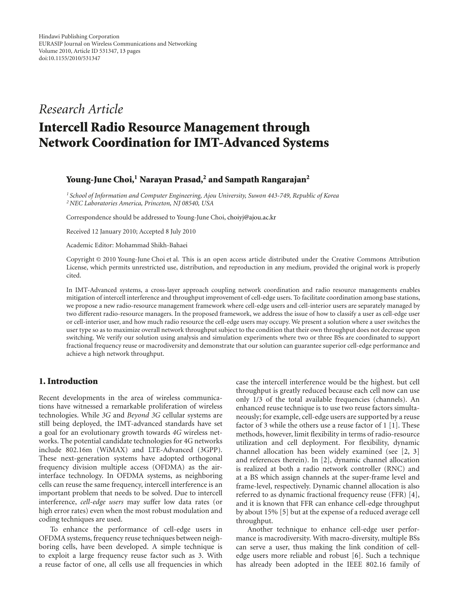## *Research Article*

# **Intercell Radio Resource Management through Network Coordination for IMT-Advanced Systems**

## **Young-June Choi,<sup>1</sup> Narayan Prasad,<sup>2</sup> and Sampath Rangarajan<sup>2</sup>**

*<sup>1</sup> School of Information and Computer Engineering, Ajou University, Suwon 443-749, Republic of Korea 2NEC Laboratories America, Princeton, NJ 08540, USA*

Correspondence should be addressed to Young-June Choi, choiyj@ajou.ac.kr

Received 12 January 2010; Accepted 8 July 2010

Academic Editor: Mohammad Shikh-Bahaei

Copyright © 2010 Young-June Choi et al. This is an open access article distributed under the Creative Commons Attribution License, which permits unrestricted use, distribution, and reproduction in any medium, provided the original work is properly cited.

In IMT-Advanced systems, a cross-layer approach coupling network coordination and radio resource managements enables mitigation of intercell interference and throughput improvement of cell-edge users. To facilitate coordination among base stations, we propose a new radio-resource management framework where cell-edge users and cell-interior users are separately managed by two different radio-resource managers. In the proposed framework, we address the issue of how to classify a user as cell-edge user or cell-interior user, and how much radio resource the cell-edge users may occupy. We present a solution where a user switches the user type so as to maximize overall network throughput subject to the condition that their own throughput does not decrease upon switching. We verify our solution using analysis and simulation experiments where two or three BSs are coordinated to support fractional frequency reuse or macrodiversity and demonstrate that our solution can guarantee superior cell-edge performance and achieve a high network throughput.

#### **1. Introduction**

Recent developments in the area of wireless communications have witnessed a remarkable proliferation of wireless technologies. While *3G* and *Beyond 3G* cellular systems are still being deployed, the IMT-advanced standards have set a goal for an evolutionary growth towards *4G* wireless networks. The potential candidate technologies for 4G networks include 802.16m (WiMAX) and LTE-Advanced (3GPP). These next-generation systems have adopted orthogonal frequency division multiple access (OFDMA) as the airinterface technology. In OFDMA systems, as neighboring cells can reuse the same frequency, intercell interference is an important problem that needs to be solved. Due to intercell interference, *cell-edge users* may suffer low data rates (or high error rates) even when the most robust modulation and coding techniques are used.

To enhance the performance of cell-edge users in OFDMA systems, frequency reuse techniques between neighboring cells, have been developed. A simple technique is to exploit a large frequency reuse factor such as 3. With a reuse factor of one, all cells use all frequencies in which

case the intercell interference would be the highest. but cell throughput is greatly reduced because each cell now can use only 1/3 of the total available frequencies (channels). An enhanced reuse technique is to use two reuse factors simultaneously; for example, cell-edge users are supported by a reuse factor of 3 while the others use a reuse factor of 1 [1]. These methods, however, limit flexibility in terms of radio-resource utilization and cell deployment. For flexibility, dynamic channel allocation has been widely examined (see [2, 3] and references therein). In [2], dynamic channel allocation is realized at both a radio network controller (RNC) and at a BS which assign channels at the super-frame level and frame-level, respectively. Dynamic channel allocation is also referred to as dynamic fractional frequency reuse (FFR) [4], and it is known that FFR can enhance cell-edge throughput by about 15% [5] but at the expense of a reduced average cell throughput.

Another technique to enhance cell-edge user performance is macrodiversity. With macro-diversity, multiple BSs can serve a user, thus making the link condition of celledge users more reliable and robust [6]. Such a technique has already been adopted in the IEEE 802.16 family of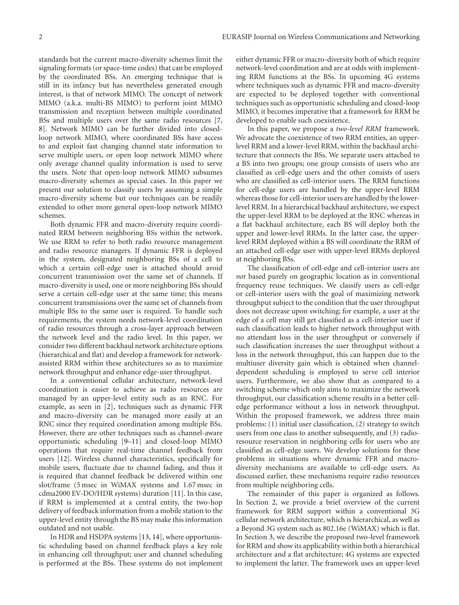standards but the current macro-diversity schemes limit the signaling formats (or space-time codes) that can be employed by the coordinated BSs. An emerging technique that is still in its infancy but has nevertheless generated enough interest, is that of network MIMO. The concept of network MIMO (a.k.a. multi-BS MIMO) to perform joint MIMO transmission and reception between multiple coordinated BSs and multiple users over the same radio resources [7, 8]. Network MIMO can be further divided into closedloop network MIMO, where coordinated BSs have access to and exploit fast changing channel state information to serve multiple users, or open loop network MIMO where only average channel quality information is used to serve the users. Note that open-loop network MIMO subsumes macro-diversity schemes as special cases. In this paper we present our solution to classify users by assuming a simple macro-diversity scheme but our techniques can be readily extended to other more general open-loop network MIMO schemes.

Both dynamic FFR and macro-diversity require coordinated RRM between neighboring BSs within the network. We use RRM to refer to both radio resource management and radio resource managers. If dynamic FFR is deployed in the system, designated neighboring BSs of a cell to which a certain cell-edge user is attached should avoid concurrent transmission over the same set of channels. If macro-diversity is used, one or more neighboring BSs should serve a certain cell-edge user at the same time; this means concurrent transmissions over the same set of channels from multiple BSs to the same user is required. To handle such requirements, the system needs network-level coordination of radio resources through a cross-layer approach between the network level and the radio level. In this paper, we consider two different backhaul network architecture options (hierarchical and flat) and develop a framework for networkassisted RRM within these architectures so as to maximize network throughput and enhance edge-user throughput.

In a conventional cellular architecture, network-level coordination is easier to achieve as radio resources are managed by an upper-level entity such as an RNC. For example, as seen in [2], techniques such as dynamic FFR and macro-diversity can be managed more easily at an RNC since they required coordination among multiple BSs. However, there are other techniques such as channel-aware opportunistic scheduling [9–11] and closed-loop MIMO operations that require real-time channel feedback from users [12]. Wireless channel characteristics, specifically for mobile users, fluctuate due to channel fading, and thus it is required that channel feedback be delivered within one slot/frame (5 msec in WiMAX systems and 1.67 msec in cdma2000 EV-DO/HDR systems) duration [11]. In this case, if RRM is implemented at a central entity, the two-hop delivery of feedback information from a mobile station to the upper-level entity through the BS may make this information outdated and not usable.

In HDR and HSDPA systems [13, 14], where opportunistic scheduling based on channel feedback plays a key role in enhancing cell throughput; user and channel scheduling is performed at the BSs. These systems do not implement

either dynamic FFR or macro-diversity both of which require network-level coordination and are at odds with implementing RRM functions at the BSs. In upcoming 4G systems where techniques such as dynamic FFR and macro-diversity are expected to be deployed together with conventional techniques such as opportunistic scheduling and closed-loop MIMO, it becomes imperative that a framework for RRM be developed to enable such coexistence.

In this paper, we propose a *two-level RRM* framework. We advocate the coexistence of two RRM entities, an upperlevel RRM and a lower-level RRM, within the backhaul architecture that connects the BSs. We separate users attached to a BS into two groups; one group consists of users who are classified as cell-edge users and the other consists of users who are classified as cell-interior users. The RRM functions for cell-edge users are handled by the upper-level RRM whereas those for cell-interior users are handled by the lowerlevel RRM. In a hierarchical backhaul architecture, we expect the upper-level RRM to be deployed at the RNC whereas in a flat backhaul architecture, each BS will deploy both the upper and lower-level RRMs. In the latter case, the upperlevel RRM deployed within a BS will coordinate the RRM of an attached cell-edge user with upper-level RRMs deployed at neighboring BSs.

The classification of cell-edge and cell-interior users are *not* based purely on geographic location as in conventional frequency reuse techniques. We classify users as cell-edge or cell-interior users with the goal of maximizing network throughput subject to the condition that the user throughput does not decrease upon switching; for example, a user at the edge of a cell may still get classified as a cell-interior user if such classification leads to higher network throughput with no attendant loss in the user throughput or conversely if such classification increases the user throughput without a loss in the network throughput, this can happen due to the multiuser diversity gain which is obtained when channeldependent scheduling is employed to serve cell interior users. Furthermore, we also show that as compared to a switching scheme which only aims to maximize the network throughput, our classification scheme results in a better celledge performance without a loss in network throughput. Within the proposed framework, we address three main problems: (1) initial user classification, (2) strategy to switch users from one class to another subsequently, and (3) radioresource reservation in neighboring cells for users who are classified as cell-edge users. We develop solutions for these problems in situations where dynamic FFR and macrodiversity mechanisms are available to cell-edge users. As discussed earlier, these mechanisms require radio resources from multiple neighboring cells.

The remainder of this paper is organized as follows. In Section 2, we provide a brief overview of the current framework for RRM support within a conventional 3G cellular network architecture, which is hierarchical, as well as a Beyond 3G system such as 802.16e (WiMAX) which is flat. In Section 3, we describe the proposed two-level framework for RRM and show its applicability within both a hierarchical architecture and a flat architecture; 4G systems are expected to implement the latter. The framework uses an upper-level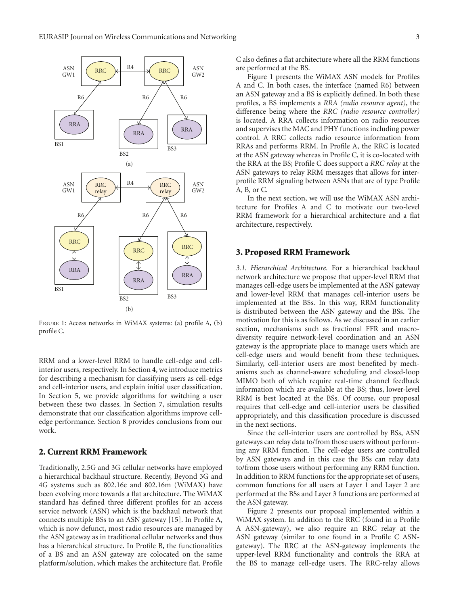

Figure 1: Access networks in WiMAX systems: (a) profile A, (b) profile C.

RRM and a lower-level RRM to handle cell-edge and cellinterior users, respectively. In Section 4, we introduce metrics for describing a mechanism for classifying users as cell-edge and cell-interior users, and explain initial user classification. In Section 5, we provide algorithms for switching a user between these two classes. In Section 7, simulation results demonstrate that our classification algorithms improve celledge performance. Section 8 provides conclusions from our work.

#### **2. Current RRM Framework**

Traditionally, 2.5G and 3G cellular networks have employed a hierarchical backhaul structure. Recently, Beyond 3G and 4G systems such as 802.16e and 802.16m (WiMAX) have been evolving more towards a flat architecture. The WiMAX standard has defined three different profiles for an access service network (ASN) which is the backhaul network that connects multiple BSs to an ASN gateway [15]. In Profile A, which is now defunct, most radio resources are managed by the ASN gateway as in traditional cellular networks and thus has a hierarchical structure. In Profile B, the functionalities of a BS and an ASN gateway are colocated on the same platform/solution, which makes the architecture flat. Profile

C also defines a flat architecture where all the RRM functions are performed at the BS.

Figure 1 presents the WiMAX ASN models for Profiles A and C. In both cases, the interface (named R6) between an ASN gateway and a BS is explicitly defined. In both these profiles, a BS implements a *RRA (radio resource agent)*, the difference being where the *RRC (radio resource controller)* is located. A RRA collects information on radio resources and supervises the MAC and PHY functions including power control. A RRC collects radio resource information from RRAs and performs RRM. In Profile A, the RRC is located at the ASN gateway whereas in Profile C, it is co-located with the RRA at the BS; Profile C does support a *RRC relay* at the ASN gateways to relay RRM messages that allows for interprofile RRM signaling between ASNs that are of type Profile A, B, or C.

In the next section, we will use the WiMAX ASN architecture for Profiles A and C to motivate our two-level RRM framework for a hierarchical architecture and a flat architecture, respectively.

## **3. Proposed RRM Framework**

*3.1. Hierarchical Architecture.* For a hierarchical backhaul network architecture we propose that upper-level RRM that manages cell-edge users be implemented at the ASN gateway and lower-level RRM that manages cell-interior users be implemented at the BSs. In this way, RRM functionality is distributed between the ASN gateway and the BSs. The motivation for this is as follows. As we discussed in an earlier section, mechanisms such as fractional FFR and macrodiversity require network-level coordination and an ASN gateway is the appropriate place to manage users which are cell-edge users and would benefit from these techniques. Similarly, cell-interior users are most benefited by mechanisms such as channel-aware scheduling and closed-loop MIMO both of which require real-time channel feedback information which are available at the BS; thus, lower-level RRM is best located at the BSs. Of course, our proposal requires that cell-edge and cell-interior users be classified appropriately, and this classification procedure is discussed in the next sections.

Since the cell-interior users are controlled by BSs, ASN gateways can relay data to/from those users without performing any RRM function. The cell-edge users are controlled by ASN gateways and in this case the BSs can relay data to/from those users without performing any RRM function. In addition to RRM functions for the appropriate set of users, common functions for all users at Layer 1 and Layer 2 are performed at the BSs and Layer 3 functions are performed at the ASN gateway.

Figure 2 presents our proposal implemented within a WiMAX system. In addition to the RRC (found in a Profile A ASN-gateway), we also require an RRC relay at the ASN gateway (similar to one found in a Profile C ASNgateway). The RRC at the ASN-gateway implements the upper-level RRM functionality and controls the RRA at the BS to manage cell-edge users. The RRC-relay allows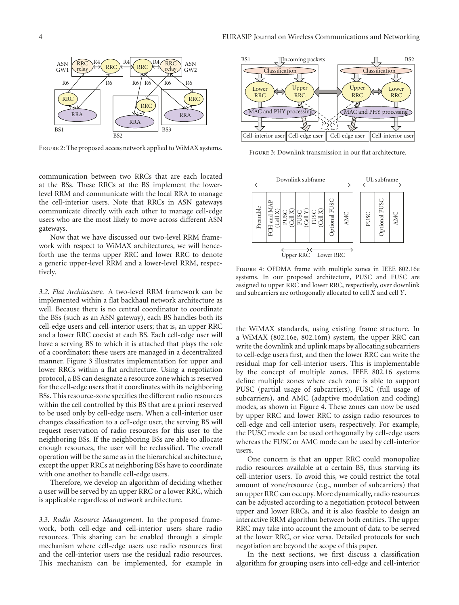

Figure 2: The proposed access network applied to WiMAX systems.

communication between two RRCs that are each located at the BSs. These RRCs at the BS implement the lowerlevel RRM and communicate with the local RRA to manage the cell-interior users. Note that RRCs in ASN gateways communicate directly with each other to manage cell-edge users who are the most likely to move across different ASN gateways.

Now that we have discussed our two-level RRM framework with respect to WiMAX architectures, we will henceforth use the terms upper RRC and lower RRC to denote a generic upper-level RRM and a lower-level RRM, respectively.

*3.2. Flat Architecture.* A two-level RRM framework can be implemented within a flat backhaul network architecture as well. Because there is no central coordinator to coordinate the BSs (such as an ASN gateway), each BS handles both its cell-edge users and cell-interior users; that is, an upper RRC and a lower RRC coexist at each BS. Each cell-edge user will have a serving BS to which it is attached that plays the role of a coordinator; these users are managed in a decentralized manner. Figure 3 illustrates implementation for upper and lower RRCs within a flat architecture. Using a negotiation protocol, a BS can designate a resource zone which is reserved for the cell-edge users that it coordinates with its neighboring BSs. This resource-zone specifies the different radio resources within the cell controlled by this BS that are a priori reserved to be used only by cell-edge users. When a cell-interior user changes classification to a cell-edge user, the serving BS will request reservation of radio resources for this user to the neighboring BSs. If the neighboring BSs are able to allocate enough resources, the user will be reclassified. The overall operation will be the same as in the hierarchical architecture, except the upper RRCs at neighboring BSs have to coordinate with one another to handle cell-edge users.

Therefore, we develop an algorithm of deciding whether a user will be served by an upper RRC or a lower RRC, which is applicable regardless of network architecture.

*3.3. Radio Resource Management.* In the proposed framework, both cell-edge and cell-interior users share radio resources. This sharing can be enabled through a simple mechanism where cell-edge users use radio resources first and the cell-interior users use the residual radio resources. This mechanism can be implemented, for example in



Figure 3: Downlink transmission in our flat architecture.



Figure 4: OFDMA frame with multiple zones in IEEE 802.16e systems. In our proposed architecture, PUSC and FUSC are assigned to upper RRC and lower RRC, respectively, over downlink and subcarriers are orthogonally allocated to cell *X* and cell *Y*.

the WiMAX standards, using existing frame structure. In a WiMAX (802.16e, 802.16m) system, the upper RRC can write the downlink and uplink maps by allocating subcarriers to cell-edge users first, and then the lower RRC can write the residual map for cell-interior users. This is implementable by the concept of multiple zones. IEEE 802.16 systems define multiple zones where each zone is able to support PUSC (partial usage of subcarriers), FUSC (full usage of subcarriers), and AMC (adaptive modulation and coding) modes, as shown in Figure 4. These zones can now be used by upper RRC and lower RRC to assign radio resources to cell-edge and cell-interior users, respectively. For example, the PUSC mode can be used orthogonally by cell-edge users whereas the FUSC or AMC mode can be used by cell-interior users.

One concern is that an upper RRC could monopolize radio resources available at a certain BS, thus starving its cell-interior users. To avoid this, we could restrict the total amount of zone/resource (e.g., number of subcarriers) that an upper RRC can occupy. More dynamically, radio resources can be adjusted according to a negotiation protocol between upper and lower RRCs, and it is also feasible to design an interactive RRM algorithm between both entities. The upper RRC may take into account the amount of data to be served at the lower RRC, or vice versa. Detailed protocols for such negotiation are beyond the scope of this paper.

In the next sections, we first discuss a classification algorithm for grouping users into cell-edge and cell-interior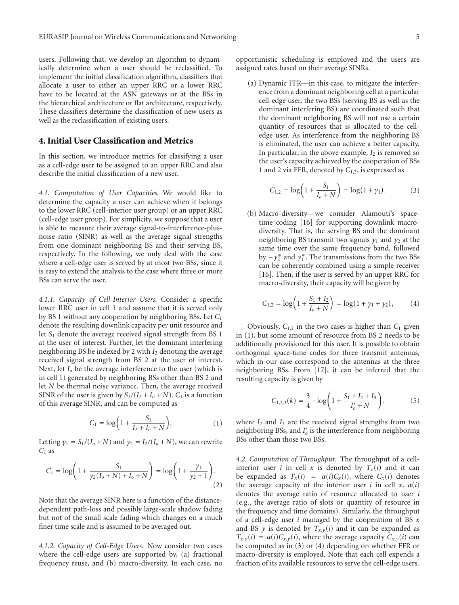users. Following that, we develop an algorithm to dynamically determine when a user should be reclassified. To implement the initial classification algorithm, classifiers that allocate a user to either an upper RRC or a lower RRC have to be located at the ASN gateways or at the BSs in the hierarchical architecture or flat architecture, respectively. These classifiers determine the classification of new users as well as the reclassification of existing users.

## **4. Initial User Classification and Metrics**

In this section, we introduce metrics for classifying a user as a cell-edge user to be assigned to an upper RRC and also describe the initial classification of a new user.

*4.1. Computation of User Capacities.* We would like to determine the capacity a user can achieve when it belongs to the lower RRC (cell-interior user group) or an upper RRC (cell-edge user group). For simplicity, we suppose that a user is able to measure their average signal-to-interference-plusnoise ratio (SINR) as well as the average signal strengths from one dominant neighboring BS and their serving BS, respectively. In the following, we only deal with the case where a cell-edge user is served by at most two BSs, since it is easy to extend the analysis to the case where three or more BSs can serve the user.

*4.1.1. Capacity of Cell-Interior Users.* Consider a specific lower RRC user in cell 1 and assume that it is served only by BS 1 without any cooperation by neighboring BSs. Let *C*<sup>1</sup> denote the resulting downlink capacity per unit resource and let *S*<sup>1</sup> denote the average received signal strength from BS 1 at the user of interest. Further, let the dominant interfering neighboring BS be indexed by 2 with *I*<sup>2</sup> denoting the average received signal strength from BS 2 at the user of interest. Next, let *Io* be the average interference to the user (which is in cell 1) generated by neighboring BSs other than BS 2 and let *N* be thermal noise variance. Then, the average received SINR of the user is given by  $S_1/(I_2 + I_0 + N)$ .  $C_1$  is a function of this average SINR, and can be computed as

$$
C_1 = \log\left(1 + \frac{S_1}{I_2 + I_0 + N}\right).
$$
 (1)

Letting  $\gamma_1 = S_1/(I_o + N)$  and  $\gamma_2 = I_2/(I_o + N)$ , we can rewrite  $C_1$  as

$$
C_1 = \log\left(1 + \frac{S_1}{\gamma_2(I_o + N) + I_o + N}\right) = \log\left(1 + \frac{\gamma_1}{\gamma_2 + 1}\right).
$$
\n(2)

Note that the average SINR here is a function of the distancedependent path-loss and possibly large-scale shadow fading but not of the small scale fading which changes on a much finer time scale and is assumed to be averaged out.

*4.1.2. Capacity of Cell-Edge Users.* Now consider two cases where the cell-edge users are supported by, (a) fractional frequency reuse, and (b) macro-diversity. In each case, no opportunistic scheduling is employed and the users are assigned rates based on their average SINRs.

(a) Dynamic FFR—in this case, to mitigate the interference from a dominant neighboring cell at a particular cell-edge user, the two BSs (serving BS as well as the dominant interfering BS) are coordinated such that the dominant neighboring BS will not use a certain quantity of resources that is allocated to the celledge user. As interference from the neighboring BS is eliminated, the user can achieve a better capacity. In particular, in the above example,  $I_2$  is removed so the user's capacity achieved by the cooperation of BSs 1 and 2 via FFR, denoted by *C*1,2, is expressed as

$$
C_{1,2} = \log\left(1 + \frac{S_1}{I_o + N}\right) = \log(1 + \gamma_1). \tag{3}
$$

(b) Macro-diversity—we consider Alamouti's spacetime coding [16] for supporting downlink macrodiversity. That is, the serving BS and the dominant neighboring BS transmit two signals  $y_1$  and  $y_2$  at the same time over the same frequency band, followed by  $-y_2^*$  and  $y_1^*$ . The transmissions from the two BSs can be coherently combined using a simple receiver [16]. Then, if the user is served by an upper RRC for macro-diversity, their capacity will be given by

$$
C_{1,2} = \log\left(1 + \frac{S_1 + I_2}{I_o + N}\right) = \log(1 + \gamma_1 + \gamma_2),\tag{4}
$$

Obviously, *C*1,2 in the two cases is higher than *C*<sup>1</sup> given in (1), but some amount of resource from BS 2 needs to be additionally provisioned for this user. It is possible to obtain orthogonal space-time codes for three transmit antennas, which in our case correspond to the antennas at the three neighboring BSs. From [17], it can be inferred that the resulting capacity is given by

$$
C_{1,2,3}(k) = \frac{3}{4} \cdot \log\bigg(1 + \frac{S_1 + I_2 + I_3}{I'_0 + N}\bigg). \tag{5}
$$

where  $I_2$  and  $I_3$  are the received signal strengths from two neighboring BSs, and  $I'_{o}$  is the interference from neighboring BSs other than those two BSs.

*4.2. Computation of Throughput.* The throughput of a cellinterior user *i* in cell *x* is denoted by  $T_x(i)$  and it can be expanded as  $T_x(i) = \alpha(i)C_x(i)$ , where  $C_x(i)$  denotes the average capacity of the interior user *i* in cell *x*.  $\alpha(i)$ denotes the average ratio of resource allocated to user *i* (e.g., the average ratio of slots or quantity of resource in the frequency and time domains). Similarly, the throughput of a cell-edge user *i* managed by the cooperation of BS *x* and BS  $y$  is denoted by  $T_{x,y}(i)$  and it can be expanded as  $T_{x,y}(i) = \alpha(i)C_{x,y}(i)$ , where the average capacity  $C_{x,y}(i)$  can be computed as in (3) or (4) depending on whether FFR or macro-diversity is employed. Note that each cell expends a fraction of its available resources to serve the cell-edge users.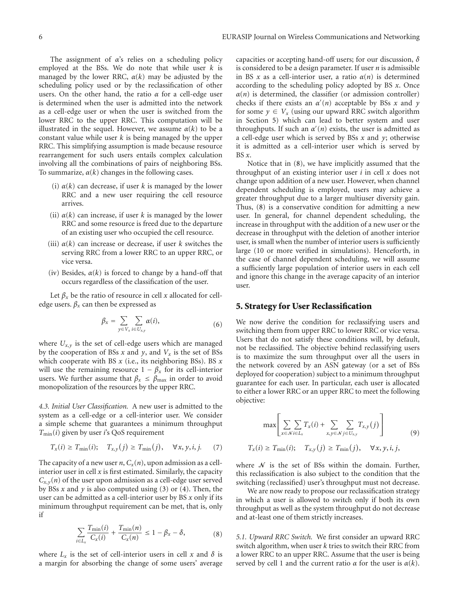The assignment of *α*'s relies on a scheduling policy employed at the BSs. We do note that while user *k* is managed by the lower RRC,  $\alpha(k)$  may be adjusted by the scheduling policy used or by the reclassification of other users. On the other hand, the ratio *α* for a cell-edge user is determined when the user is admitted into the network as a cell-edge user or when the user is switched from the lower RRC to the upper RRC. This computation will be illustrated in the sequel. However, we assume  $\alpha(k)$  to be a constant value while user *k* is being managed by the upper RRC. This simplifying assumption is made because resource rearrangement for such users entails complex calculation involving all the combinations of pairs of neighboring BSs. To summarize,  $\alpha(k)$  changes in the following cases.

- (i)  $\alpha(k)$  can decrease, if user *k* is managed by the lower RRC and a new user requiring the cell resource arrives.
- (ii)  $\alpha(k)$  can increase, if user k is managed by the lower RRC and some resource is freed due to the departure of an existing user who occupied the cell resource.
- (iii)  $\alpha(k)$  can increase or decrease, if user *k* switches the serving RRC from a lower RRC to an upper RRC, or vice versa.
- (iv) Besides,  $\alpha(k)$  is forced to change by a hand-off that occurs regardless of the classification of the user.

Let  $\beta_x$  be the ratio of resource in cell *x* allocated for celledge users.  $\beta_x$  can then be expressed as

$$
\beta_x = \sum_{y \in V_x} \sum_{i \in U_{x,y}} \alpha(i), \qquad (6)
$$

where  $U_{x,y}$  is the set of cell-edge users which are managed by the cooperation of BSs  $x$  and  $y$ , and  $V_x$  is the set of BSs which cooperate with BS *x* (i.e., its neighboring BSs). BS *x* will use the remaining resource  $1 - \beta_x$  for its cell-interior users. We further assume that  $\beta_x \leq \beta_{\text{max}}$  in order to avoid monopolization of the resources by the upper RRC.

*4.3. Initial User Classification.* A new user is admitted to the system as a cell-edge or a cell-interior user. We consider a simple scheme that guarantees a minimum throughput *T*min(*i*) given by user *i*'s QoS requirement

$$
T_x(i) \geq T_{\min}(i); \quad T_{x,y}(j) \geq T_{\min}(j), \quad \forall x, y, i, j. \tag{7}
$$

The capacity of a new user  $n$ ,  $C_x(n)$ , upon admission as a cellinterior user in cell  $x$  is first estimated. Similarly, the capacity  $C_{x,y}(n)$  of the user upon admission as a cell-edge user served by BSs *x* and *y* is also computed using (3) or (4). Then, the user can be admitted as a cell-interior user by BS *x* only if its minimum throughput requirement can be met, that is, only if

$$
\sum_{i\in L_x} \frac{T_{\min}(i)}{C_x(i)} + \frac{T_{\min}(n)}{C_x(n)} \le 1 - \beta_x - \delta,
$$
\n(8)

where  $L_x$  is the set of cell-interior users in cell  $x$  and  $\delta$  is a margin for absorbing the change of some users' average

capacities or accepting hand-off users; for our discussion, *δ* is considered to be a design parameter. If user *n* is admissible in BS *x* as a cell-interior user, a ratio  $\alpha(n)$  is determined according to the scheduling policy adopted by BS *x*. Once  $\alpha(n)$  is determined, the classifier (or admission controller) checks if there exists an *α* (*n*) acceptable by BSs *x* and *y* for some  $y \in V_x$  (using our upward RRC switch algorithm in Section 5) which can lead to better system and user throughputs. If such an  $\alpha'(n)$  exists, the user is admitted as a cell-edge user which is served by BSs *x* and *y*; otherwise it is admitted as a cell-interior user which is served by BS *x*.

Notice that in (8), we have implicitly assumed that the throughput of an existing interior user *i* in cell *x* does not change upon addition of a new user. However, when channel dependent scheduling is employed, users may achieve a greater throughput due to a larger multiuser diversity gain. Thus, (8) is a conservative condition for admitting a new user. In general, for channel dependent scheduling, the increase in throughput with the addition of a new user or the decrease in throughput with the deletion of another interior user, is small when the number of interior users is sufficiently large (10 or more verified in simulations). Henceforth, in the case of channel dependent scheduling, we will assume a sufficiently large population of interior users in each cell and ignore this change in the average capacity of an interior user.

## **5. Strategy for User Reclassification**

We now derive the condition for reclassifying users and switching them from upper RRC to lower RRC or vice versa. Users that do not satisfy these conditions will, by default, not be reclassified. The objective behind reclassifying users is to maximize the sum throughput over all the users in the network covered by an ASN gateway (or a set of BSs deployed for cooperation) subject to a minimum throughput guarantee for each user. In particular, each user is allocated to either a lower RRC or an upper RRC to meet the following objective:

$$
\max \left[ \sum_{x \in \mathcal{N}} \sum_{i \in L_x} T_x(i) + \sum_{x, y \in \mathcal{N}} \sum_{j \in U_{x,y}} T_{x,y}(j) \right]
$$
\n
$$
T_x(i) \ge T_{\min}(i); \quad T_{x,y}(j) \ge T_{\min}(j), \quad \forall x, y, i, j,
$$
\n(9)

where  $N$  is the set of BSs within the domain. Further, this reclassification is also subject to the condition that the switching (reclassified) user's throughput must not decrease.

We are now ready to propose our reclassification strategy in which a user is allowed to switch only if both its own throughput as well as the system throughput do not decrease and at-least one of them strictly increases.

*5.1. Upward RRC Switch.* We first consider an upward RRC switch algorithm, when user *k* tries to switch their RRC from a lower RRC to an upper RRC. Assume that the user is being served by cell 1 and the current ratio  $\alpha$  for the user is  $\alpha(k)$ .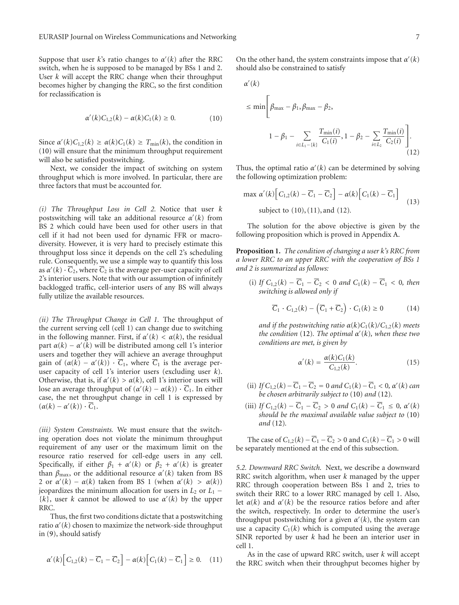Suppose that user *k*'s ratio changes to *α* (*k*) after the RRC switch, when he is supposed to be managed by BSs 1 and 2. User *k* will accept the RRC change when their throughput becomes higher by changing the RRC, so the first condition for reclassification is

$$
\alpha'(k)C_{1,2}(k) - \alpha(k)C_1(k) \ge 0.
$$
 (10)

Since  $\alpha'(k)C_{1,2}(k) \ge \alpha(k)C_1(k) \ge T_{\min}(k)$ , the condition in (10) will ensure that the minimum throughput requirement will also be satisfied postswitching.

Next, we consider the impact of switching on system throughput which is more involved. In particular, there are three factors that must be accounted for.

*(i) The Throughput Loss in Cell 2.* Notice that user *k* postswitching will take an additional resource *α* (*k*) from BS 2 which could have been used for other users in that cell if it had not been used for dynamic FFR or macrodiversity. However, it is very hard to precisely estimate this throughput loss since it depends on the cell 2's scheduling rule. Consequently, we use a simple way to quantify this loss as  $\alpha'(k) \cdot C_2$ , where  $C_2$  is the average per-user capacity of cell 2's interior users. Note that with our assumption of infinitely backlogged traffic, cell-interior users of any BS will always fully utilize the available resources.

*(ii) The Throughput Change in Cell 1.* The throughput of the current serving cell (cell 1) can change due to switching in the following manner. First, if  $\alpha'(k) < \alpha(k)$ , the residual part *α*(*k*) − *α* (*k*) will be distributed among cell 1's interior users and together they will achieve an average throughput gain of  $(\alpha(k) - \alpha'(k)) \cdot C_1$ , where  $C_1$  is the average peruser capacity of cell 1's interior users (excluding user *k*). Otherwise, that is, if  $\alpha'(k) > \alpha(k)$ , cell 1's interior users will lose an average throughput of  $(\alpha'(k) - \alpha(k)) \cdot C_1$ . In either case, the net throughput change in cell 1 is expressed by  $(\alpha(k) - \alpha'(k)) \cdot C_1.$ 

*(iii) System Constraints.* We must ensure that the switching operation does not violate the minimum throughput requirement of any user or the maximum limit on the resource ratio reserved for cell-edge users in any cell. Specifically, if either  $\beta_1 + \alpha'(k)$  or  $\beta_2 + \alpha'(k)$  is greater than *β*max, or the additional resource *α* (*k*) taken from BS 2 or  $\alpha'(k) - \alpha(k)$  taken from BS 1 (when  $\alpha'(k) > \alpha(k)$ ) jeopardizes the minimum allocation for users in  $L_2$  or  $L_1$  − {*k*}, user *k* cannot be allowed to use *α* (*k*) by the upper RRC.

Thus, the first two conditions dictate that a postswitching ratio *α* (*k*) chosen to maximize the network-side throughput in (9), should satisfy

$$
\alpha'(k)\Big[C_{1,2}(k)-\overline{C}_1-\overline{C}_2\Big]-\alpha(k)\Big[C_1(k)-\overline{C}_1\Big]\geq 0.\quad (11)
$$

On the other hand, the system constraints impose that  $\alpha'(k)$ should also be constrained to satisfy

$$
\alpha'(k)
$$
  
\n
$$
\leq \min \left[ \beta_{\max} - \beta_1, \beta_{\max} - \beta_2,
$$
  
\n
$$
1 - \beta_1 - \sum_{i \in L_1 - \{k\}} \frac{T_{\min}(i)}{C_1(i)}, 1 - \beta_2 - \sum_{i \in L_2} \frac{T_{\min}(i)}{C_2(i)} \right].
$$
\n(12)

Thus, the optimal ratio  $\alpha'(k)$  can be determined by solving the following optimization problem:

$$
\max \alpha'(k) \Big[ C_{1,2}(k) - \overline{C}_1 - \overline{C}_2 \Big] - \alpha(k) \Big[ C_1(k) - \overline{C}_1 \Big]
$$
  
subject to (10), (11), and (12). (13)

The solution for the above objective is given by the following proposition which is proved in Appendix A.

**Proposition 1.** *The condition of changing a user k's RRC from a lower RRC to an upper RRC with the cooperation of BSs 1 and 2 is summarized as follows:*

(i) *If*  $C_{1,2}(k) - \overline{C}_1 - \overline{C}_2 < 0$  and  $C_1(k) - \overline{C}_1 < 0$ , then *switching is allowed only if*

$$
\overline{C}_1 \cdot C_{1,2}(k) - \left(\overline{C}_1 + \overline{C}_2\right) \cdot C_1(k) \ge 0 \tag{14}
$$

*and if the postswitching ratio*  $\alpha(k)C_1(k)/C_{1,2}(k)$  *meets the condition* (12)*. The optimal α* (*k*)*, when these two conditions are met, is given by*

$$
\alpha'(k) = \frac{\alpha(k)C_1(k)}{C_{1,2}(k)}.\tag{15}
$$

- (ii) *If*  $C_{1,2}(k) C_1 C_2 = 0$  *and*  $C_1(k) C_1 < 0$ ,  $\alpha'(k)$  *can be chosen arbitrarily subject to* (10) *and* (12)*.*
- (iii) *If*  $C_{1,2}(k) \overline{C_1} \overline{C_2} > 0$  *and*  $C_1(k) \overline{C_1} \le 0$ ,  $\alpha'(k)$ *should be the maximal available value subject to* (10) *and* (12)*.*

The case of  $C_{1,2}(k) - \overline{C}_1 - \overline{C}_2 > 0$  and  $C_1(k) - \overline{C}_1 > 0$  will be separately mentioned at the end of this subsection.

*5.2. Downward RRC Switch.* Next, we describe a downward RRC switch algorithm, when user *k* managed by the upper RRC through cooperation between BSs 1 and 2, tries to switch their RRC to a lower RRC managed by cell 1. Also, let  $\alpha(k)$  and  $\alpha'(k)$  be the resource ratios before and after the switch, respectively. In order to determine the user's throughput postswitching for a given  $\alpha'(k)$ , the system can use a capacity  $C_1(k)$  which is computed using the average SINR reported by user *k* had he been an interior user in cell 1.

As in the case of upward RRC switch, user *k* will accept the RRC switch when their throughput becomes higher by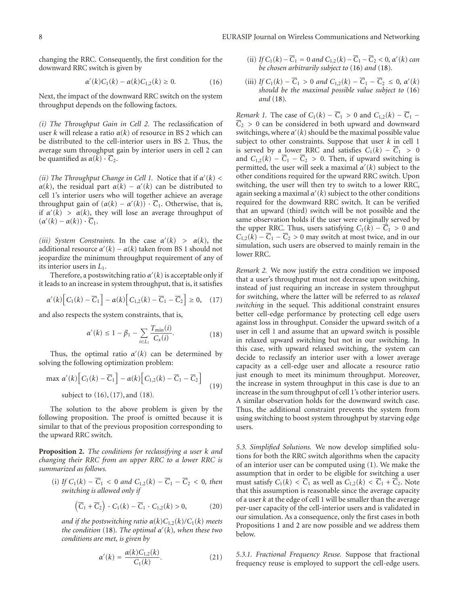changing the RRC. Consequently, the first condition for the downward RRC switch is given by

$$
\alpha'(k)C_1(k) - \alpha(k)C_{1,2}(k) \ge 0.
$$
 (16)

Next, the impact of the downward RRC switch on the system throughput depends on the following factors.

*(i) The Throughput Gain in Cell 2.* The reclassification of user *k* will release a ratio *α*(*k*) of resource in BS 2 which can be distributed to the cell-interior users in BS 2. Thus, the average sum throughput gain by interior users in cell 2 can be quantified as  $\alpha(k) \cdot \overline{C_2}$ .

*(ii) The Throughput Change in Cell 1.* Notice that if *α* (*k*) *< α*(*k*), the residual part *α*(*k*) – *α*<sup>'</sup>(*k*) can be distributed to cell 1's interior users who will together achieve an average throughput gain of  $(\alpha(k) - \alpha'(k)) \cdot \overline{C}_1$ . Otherwise, that is, if  $\alpha'(k) > \alpha(k)$ , they will lose an average throughput of  $(\alpha'(k) - \alpha(k)) \cdot \overline{C_1}.$ 

(*iii*) System Constraints. In the case  $\alpha'(k) > \alpha(k)$ , the additional resource  $\alpha'(k) - \alpha(k)$  taken from BS 1 should not jeopardize the minimum throughput requirement of any of its interior users in *L*1.

Therefore, a postswitching ratio *α* (*k*) is acceptable only if it leads to an increase in system throughput, that is, it satisfies

$$
\alpha'(k)\Big[C_1(k)-\overline{C}_1\Big]-\alpha(k)\Big[C_{1,2}(k)-\overline{C}_1-\overline{C}_2\Big]\geq 0,\quad(17)
$$

and also respects the system constraints, that is,

$$
\alpha'(k) \le 1 - \beta_1 - \sum_{i \in L_1} \frac{T_{\min}(i)}{C_x(i)}.
$$
 (18)

Thus, the optimal ratio  $\alpha'(k)$  can be determined by solving the following optimization problem:

$$
\max \alpha'(k) \Big[ C_1(k) - \overline{C}_1 \Big] - \alpha(k) \Big[ C_{1,2}(k) - \overline{C}_1 - \overline{C}_2 \Big] \quad (19)
$$
\n
$$
\text{subject to (16), (17), and (18).}
$$

The solution to the above problem is given by the following proposition. The proof is omitted because it is similar to that of the previous proposition corresponding to the upward RRC switch.

**Proposition 2.** *The conditions for reclassifying a user k and changing their RRC from an upper RRC to a lower RRC is summarized as follows.*

(i) *If*  $C_1(k) - \overline{C}_1 < 0$  *and*  $C_{1,2}(k) - \overline{C}_1 - \overline{C}_2 < 0$ *, then switching is allowed only if*

$$
\left(\overline{C}_1 + \overline{C}_2\right) \cdot C_1(k) - \overline{C}_1 \cdot C_{1,2}(k) > 0, \tag{20}
$$

*and if the postswitching ratio*  $\alpha(k)C_{1,2}(k)/C_1(k)$  *meets the condition* (18)*. The optimal α* (*k*)*, when these two conditions are met, is given by*

$$
\alpha'(k) = \frac{\alpha(k)C_{1,2}(k)}{C_1(k)}.\tag{21}
$$

(ii) If 
$$
C_1(k) - \overline{C_1} = 0
$$
 and  $C_{1,2}(k) - \overline{C_1} - \overline{C_2} < 0$ ,  $\alpha'(k)$  can  
be chosen arbitrarily subject to (16) and (18).

(iii) If 
$$
C_1(k) - \overline{C_1} > 0
$$
 and  $C_{1,2}(k) - \overline{C_1} - \overline{C_2} \le 0$ ,  $\alpha'(k)$  should be the maximal possible value subject to (16) and (18).

*Remark 1.* The case of  $C_1(k) - \overline{C}_1 > 0$  and  $C_{1,2}(k) - \overline{C}_1$  –  $\overline{C}_2$  > 0 can be considered in both upward and downward switchings, where *α* (*k*) should be the maximal possible value subject to other constraints. Suppose that user *k* in cell 1 is served by a lower RRC and satisfies  $C_1(k) - \overline{C}_1 > 0$ and  $C_{1,2}(k) - \overline{C}_1 - \overline{C}_2 > 0$ . Then, if upward switching is permitted, the user will seek a maximal *α* (*k*) subject to the other conditions required for the upward RRC switch. Upon switching, the user will then try to switch to a lower RRC, again seeking a maximal  $\alpha'(k)$  subject to the other conditions required for the downward RRC switch. It can be verified that an upward (third) switch will be not possible and the same observation holds if the user were originally served by the upper RRC. Thus, users satisfying  $C_1(k) - \overline{C}_1 > 0$  and  $C_{1,2}(k) - \overline{C}_1 - \overline{C}_2 > 0$  may switch at most twice, and in our simulation, such users are observed to mainly remain in the lower RRC.

*Remark 2.* We now justify the extra condition we imposed that a user's throughput must not decrease upon switching, instead of just requiring an increase in system throughput for switching, where the latter will be referred to as *relaxed switching* in the sequel. This additional constraint ensures better cell-edge performance by protecting cell edge users against loss in throughput. Consider the upward switch of a user in cell 1 and assume that an upward switch is possible in relaxed upward switching but not in our switching. In this case, with upward relaxed switching, the system can decide to reclassify an interior user with a lower average capacity as a cell-edge user and allocate a resource ratio just enough to meet its minimum throughput. Moreover, the increase in system throughput in this case is due to an increase in the sum throughput of cell 1's other interior users. A similar observation holds for the downward switch case. Thus, the additional constraint prevents the system from using switching to boost system throughput by starving edge users.

*5.3. Simplified Solutions.* We now develop simplified solutions for both the RRC switch algorithms when the capacity of an interior user can be computed using (1). We make the assumption that in order to be eligible for switching a user must satisfy  $C_1(k) < \overline{C}_1$  as well as  $C_{1,2}(k) < \overline{C}_1 + \overline{C}_2$ . Note that this assumption is reasonable since the average capacity of a user *k* at the edge of cell 1 will be smaller than the average per-user capacity of the cell-interior users and is validated in our simulation. As a consequence, only the first cases in both Propositions 1 and 2 are now possible and we address them below.

*5.3.1. Fractional Frequency Reuse.* Suppose that fractional frequency reuse is employed to support the cell-edge users.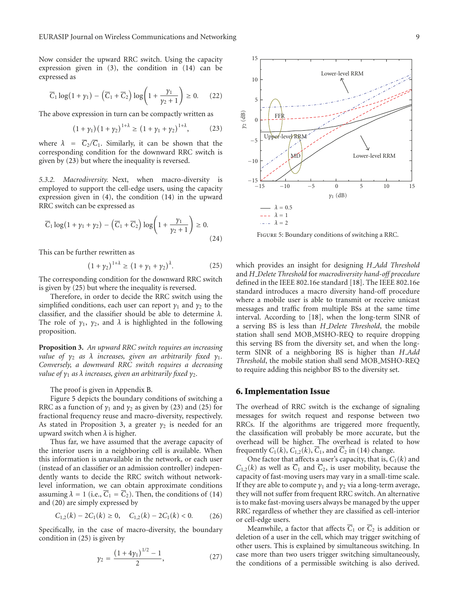Now consider the upward RRC switch. Using the capacity expression given in (3), the condition in (14) can be expressed as

$$
\overline{C}_1 \log(1+\gamma_1) - \left(\overline{C}_1 + \overline{C}_2\right) \log\left(1 + \frac{\gamma_1}{\gamma_2 + 1}\right) \ge 0. \qquad (22)
$$

The above expression in turn can be compactly written as

$$
(1 + \gamma_1)(1 + \gamma_2)^{1 + \lambda} \ge (1 + \gamma_1 + \gamma_2)^{1 + \lambda}, \tag{23}
$$

where  $\lambda = \overline{C_2}/\overline{C_1}$ . Similarly, it can be shown that the corresponding condition for the downward RRC switch is given by (23) but where the inequality is reversed.

*5.3.2. Macrodiversity.* Next, when macro-diversity is employed to support the cell-edge users, using the capacity expression given in (4), the condition (14) in the upward RRC switch can be expressed as

$$
\overline{C}_1 \log(1+\gamma_1+\gamma_2) - \left(\overline{C}_1 + \overline{C}_2\right) \log\left(1+\frac{\gamma_1}{\gamma_2+1}\right) \ge 0.
$$
\n(24)

This can be further rewritten as

$$
(1 + \gamma_2)^{1 + \lambda} \ge (1 + \gamma_1 + \gamma_2)^{\lambda}.
$$
 (25)

The corresponding condition for the downward RRC switch is given by (25) but where the inequality is reversed.

Therefore, in order to decide the RRC switch using the simplified conditions, each user can report  $\gamma_1$  and  $\gamma_2$  to the classifier, and the classifier should be able to determine *λ*. The role of  $\gamma_1$ ,  $\gamma_2$ , and  $\lambda$  is highlighted in the following proposition.

**Proposition 3.** *An upward RRC switch requires an increasing value of*  $\gamma_2$  *as*  $\lambda$  *increases, given an arbitrarily fixed*  $\gamma_1$ *. Conversely, a downward RRC switch requires a decreasing value of γ*<sup>1</sup> *as λ increases, given an arbitrarily fixed γ*2*.*

The proof is given in Appendix B.

Figure 5 depicts the boundary conditions of switching a RRC as a function of  $\gamma_1$  and  $\gamma_2$  as given by (23) and (25) for fractional frequency reuse and macro-diversity, respectively. As stated in Proposition 3, a greater *γ*<sub>2</sub> is needed for an upward switch when *λ* is higher.

Thus far, we have assumed that the average capacity of the interior users in a neighboring cell is available. When this information is unavailable in the network, or each user (instead of an classifier or an admission controller) independently wants to decide the RRC switch without networklevel information, we can obtain approximate conditions assuming  $\lambda = 1$  (i.e.,  $\overline{C}_1 = \overline{C}_2$ ). Then, the conditions of (14) and (20) are simply expressed by

$$
C_{1,2}(k) - 2C_1(k) \ge 0, \quad C_{1,2}(k) - 2C_1(k) < 0. \tag{26}
$$

Specifically, in the case of macro-diversity, the boundary condition in (25) is given by

$$
\gamma_2 = \frac{\left(1 + 4\gamma_1\right)^{1/2} - 1}{2},\tag{27}
$$



Figure 5: Boundary conditions of switching a RRC.

which provides an insight for designing *H Add Threshold* and *H Delete Threshold* for *macrodiversity hand-off procedure* defined in the IEEE 802.16e standard [18]. The IEEE 802.16e standard introduces a macro diversity hand-off procedure where a mobile user is able to transmit or receive unicast messages and traffic from multiple BSs at the same time interval. According to [18], when the long-term SINR of a serving BS is less than *H Delete Threshold*, the mobile station shall send MOB MSHO-REQ to require dropping this serving BS from the diversity set, and when the longterm SINR of a neighboring BS is higher than *H Add Threshold*, the mobile station shall send MOB MSHO-REQ to require adding this neighbor BS to the diversity set.

#### **6. Implementation Issue**

The overhead of RRC switch is the exchange of signaling messages for switch request and response between two RRCs. If the algorithms are triggered more frequently, the classification will probably be more accurate, but the overhead will be higher. The overhead is related to how frequently  $C_1(k)$ ,  $C_{1,2}(k)$ ,  $\overline{C}_1$ , and  $\overline{C}_2$  in (14) change.

One factor that affects a user's capacity, that is,  $C_1(k)$  and  $C_{1,2}(k)$  as well as  $\overline{C}_1$  and  $\overline{C}_2$ , is user mobility, because the capacity of fast-moving users may vary in a small-time scale. If they are able to compute  $\gamma_1$  and  $\gamma_2$  via a long-term average, they will not suffer from frequent RRC switch. An alternative is to make fast-moving users always be managed by the upper RRC regardless of whether they are classified as cell-interior or cell-edge users.

Meanwhile, a factor that affects  $\overline{C}_1$  or  $\overline{C}_2$  is addition or deletion of a user in the cell, which may trigger switching of other users. This is explained by simultaneous switching. In case more than two users trigger switching simultaneously, the conditions of a permissible switching is also derived.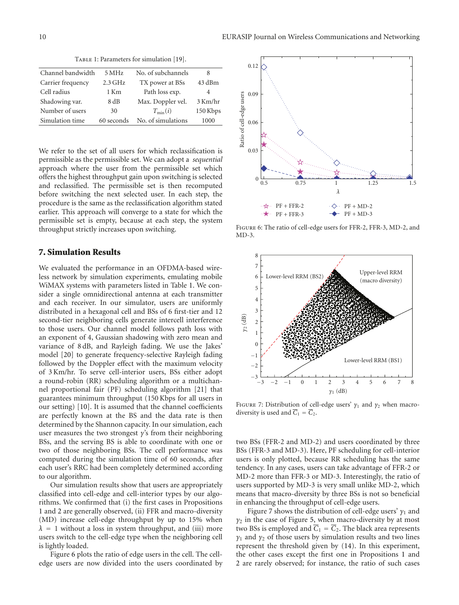TABLE 1: Parameters for simulation [19].

| Channel bandwidth | $5\,\mathrm{MHz}$ | No. of subchannels | 8         |
|-------------------|-------------------|--------------------|-----------|
| Carrier frequency | $2.3$ GHz         | TX power at BSs    | 43 dBm    |
| Cell radius       | 1 Km              | Path loss exp.     | 4         |
| Shadowing var.    | 8 dB              | Max. Doppler vel.  | $3$ Km/hr |
| Number of users   | 30                | $T_{\min}(i)$      | 150 Kbps  |
| Simulation time   | 60 seconds        | No. of simulations | 1000      |

We refer to the set of all users for which reclassification is permissible as the permissible set. We can adopt a *sequential* approach where the user from the permissible set which offers the highest throughput gain upon switching is selected and reclassified. The permissible set is then recomputed before switching the next selected user. In each step, the procedure is the same as the reclassification algorithm stated earlier. This approach will converge to a state for which the permissible set is empty, because at each step, the system throughput strictly increases upon switching.

## **7. Simulation Results**

We evaluated the performance in an OFDMA-based wireless network by simulation experiments, emulating mobile WiMAX systems with parameters listed in Table 1. We consider a single omnidirectional antenna at each transmitter and each receiver. In our simulator, users are uniformly distributed in a hexagonal cell and BSs of 6 first-tier and 12 second-tier neighboring cells generate intercell interference to those users. Our channel model follows path loss with an exponent of 4, Gaussian shadowing with zero mean and variance of 8 dB, and Rayleigh fading. We use the Jakes' model [20] to generate frequency-selective Rayleigh fading followed by the Doppler effect with the maximum velocity of 3 Km/hr. To serve cell-interior users, BSs either adopt a round-robin (RR) scheduling algorithm or a multichannel proportional fair (PF) scheduling algorithm [21] that guarantees minimum throughput (150 Kbps for all users in our setting) [10]. It is assumed that the channel coefficients are perfectly known at the BS and the data rate is then determined by the Shannon capacity. In our simulation, each user measures the two strongest *γ*'s from their neighboring BSs, and the serving BS is able to coordinate with one or two of those neighboring BSs. The cell performance was computed during the simulation time of 60 seconds, after each user's RRC had been completely determined according to our algorithm.

Our simulation results show that users are appropriately classified into cell-edge and cell-interior types by our algorithms. We confirmed that (i) the first cases in Propositions 1 and 2 are generally observed, (ii) FFR and macro-diversity (MD) increase cell-edge throughput by up to 15% when  $\lambda = 1$  without a loss in system throughput, and (iii) more users switch to the cell-edge type when the neighboring cell is lightly loaded.

Figure 6 plots the ratio of edge users in the cell. The celledge users are now divided into the users coordinated by



Figure 6: The ratio of cell-edge users for FFR-2, FFR-3, MD-2, and MD-3.



FIGURE 7: Distribution of cell-edge users'  $\gamma_1$  and  $\gamma_2$  when macrodiversity is used and  $C_1 = C_2$ .

two BSs (FFR-2 and MD-2) and users coordinated by three BSs (FFR-3 and MD-3). Here, PF scheduling for cell-interior users is only plotted, because RR scheduling has the same tendency. In any cases, users can take advantage of FFR-2 or MD-2 more than FFR-3 or MD-3. Interestingly, the ratio of users supported by MD-3 is very small unlike MD-2, which means that macro-diversity by three BSs is not so beneficial in enhancing the throughput of cell-edge users.

Figure 7 shows the distribution of cell-edge users' *γ*<sup>1</sup> and  $\gamma_2$  in the case of Figure 5, when macro-diversity by at most two BSs is employed and  $\overline{C}_1 = \overline{C}_2$ . The black area represents *γ*<sup>1</sup> and *γ*<sup>2</sup> of those users by simulation results and two lines represent the threshold given by (14). In this experiment, the other cases except the first one in Propositions 1 and 2 are rarely observed; for instance, the ratio of such cases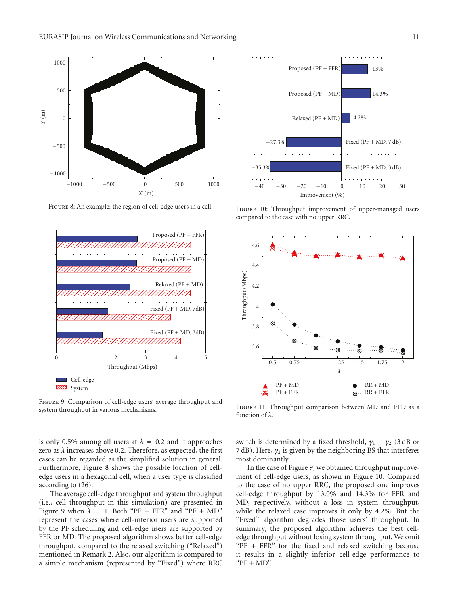

Figure 8: An example: the region of cell-edge users in a cell.



**ZZZ** System

Figure 9: Comparison of cell-edge users' average throughput and system throughput in various mechanisms.

is only 0.5% among all users at  $\lambda = 0.2$  and it approaches zero as *λ* increases above 0.2. Therefore, as expected, the first cases can be regarded as the simplified solution in general. Furthermore, Figure 8 shows the possible location of celledge users in a hexagonal cell, when a user type is classified according to (26).

The average cell-edge throughput and system throughput (i.e., cell throughput in this simulation) are presented in Figure 9 when  $\lambda = 1$ . Both "PF + FFR" and "PF + MD" represent the cases where cell-interior users are supported by the PF scheduling and cell-edge users are supported by FFR or MD. The proposed algorithm shows better cell-edge throughput, compared to the relaxed switching ("Relaxed") mentioned in Remark 2. Also, our algorithm is compared to a simple mechanism (represented by "Fixed") where RRC



FIGURE 10: Throughput improvement of upper-managed users compared to the case with no upper RRC.



Figure 11: Throughput comparison between MD and FFD as a function of *λ*.

switch is determined by a fixed threshold,  $\gamma_1 - \gamma_2$  (3 dB or 7 dB). Here, *γ*<sup>2</sup> is given by the neighboring BS that interferes most dominantly.

In the case of Figure 9, we obtained throughput improvement of cell-edge users, as shown in Figure 10. Compared to the case of no upper RRC, the proposed one improves cell-edge throughput by 13.0% and 14.3% for FFR and MD, respectively, without a loss in system throughput, while the relaxed case improves it only by 4.2%. But the "Fixed" algorithm degrades those users' throughput. In summary, the proposed algorithm achieves the best celledge throughput without losing system throughput. We omit "PF + FFR" for the fixed and relaxed switching because it results in a slightly inferior cell-edge performance to " $PF + MD$ ".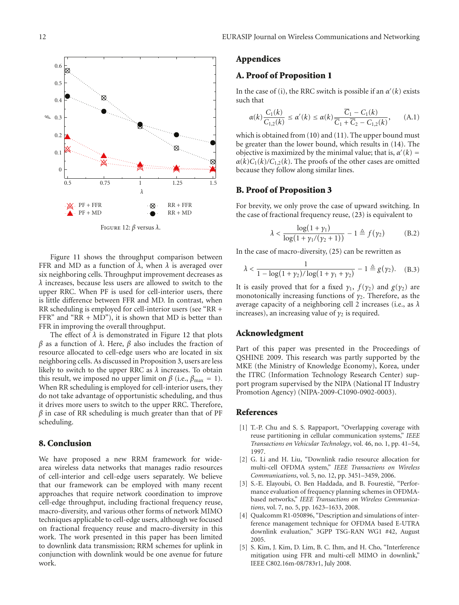

Figure 11 shows the throughput comparison between FFR and MD as a function of  $\lambda$ , when  $\lambda$  is averaged over six neighboring cells. Throughput improvement decreases as *λ* increases, because less users are allowed to switch to the upper RRC. When PF is used for cell-interior users, there is little difference between FFR and MD. In contrast, when RR scheduling is employed for cell-interior users (see "RR + FFR" and " $RR + MD$ "), it is shown that MD is better than FFR in improving the overall throughput.

The effect of  $\lambda$  is demonstrated in Figure 12 that plots *β* as a function of *λ*. Here, *β* also includes the fraction of resource allocated to cell-edge users who are located in six neighboring cells. As discussed in Proposition 3, users are less likely to switch to the upper RRC as *λ* increases. To obtain this result, we imposed no upper limit on  $\beta$  (i.e.,  $\beta_{\text{max}} = 1$ ). When RR scheduling is employed for cell-interior users, they do not take advantage of opportunistic scheduling, and thus it drives more users to switch to the upper RRC. Therefore, *β* in case of RR scheduling is much greater than that of PF scheduling.

#### **8. Conclusion**

We have proposed a new RRM framework for widearea wireless data networks that manages radio resources of cell-interior and cell-edge users separately. We believe that our framework can be employed with many recent approaches that require network coordination to improve cell-edge throughput, including fractional frequency reuse, macro-diversity, and various other forms of network MIMO techniques applicable to cell-edge users, although we focused on fractional frequency reuse and macro-diversity in this work. The work presented in this paper has been limited to downlink data transmission; RRM schemes for uplink in conjunction with downlink would be one avenue for future work.

#### **Appendices**

## **A. Proof of Proposition 1**

In the case of (i), the RRC switch is possible if an  $\alpha'(k)$  exists such that

$$
\alpha(k)\frac{C_1(k)}{C_{1,2}(k)} \le \alpha'(k) \le \alpha(k)\frac{\overline{C}_1 - C_1(k)}{\overline{C}_1 + \overline{C}_2 - C_{1,2}(k)},\qquad (A.1)
$$

which is obtained from (10) and (11). The upper bound must be greater than the lower bound, which results in (14). The objective is maximized by the minimal value; that is,  $\alpha'(k)$  =  $\alpha(k)C_1(k)/C_{1,2}(k)$ . The proofs of the other cases are omitted because they follow along similar lines.

#### **B. Proof of Proposition 3**

For brevity, we only prove the case of upward switching. In the case of fractional frequency reuse, (23) is equivalent to

$$
\lambda < \frac{\log(1 + \gamma_1)}{\log(1 + \gamma_1/(\gamma_2 + 1))} - 1 \triangleq f(\gamma_2)
$$
 (B.2)

In the case of macro-diversity, (25) can be rewritten as

$$
\lambda < \frac{1}{1 - \log(1 + \gamma_2)/\log(1 + \gamma_1 + \gamma_2)} - 1 \triangleq g(\gamma_2). \quad (B.3)
$$

It is easily proved that for a fixed  $\gamma_1$ ,  $f(\gamma_2)$  and  $g(\gamma_2)$  are monotonically increasing functions of *γ*2. Therefore, as the average capacity of a neighboring cell 2 increases (i.e., as *λ* increases), an increasing value of  $\gamma_2$  is required.

### **Acknowledgment**

Part of this paper was presented in the Proceedings of QSHINE 2009. This research was partly supported by the MKE (the Ministry of Knowledge Economy), Korea, under the ITRC (Information Technology Research Center) support program supervised by the NIPA (National IT Industry Promotion Agency) (NIPA-2009-C1090-0902-0003).

#### **References**

- [1] T.-P. Chu and S. S. Rappaport, "Overlapping coverage with reuse partitioning in cellular communication systems," *IEEE Transactions on Vehicular Technology*, vol. 46, no. 1, pp. 41–54, 1997.
- [2] G. Li and H. Liu, "Downlink radio resource allocation for multi-cell OFDMA system," *IEEE Transactions on Wireless Communications*, vol. 5, no. 12, pp. 3451–3459, 2006.
- [3] S.-E. Elayoubi, O. Ben Haddada, and B. Fourestié, "Performance evaluation of frequency planning schemes in OFDMAbased networks," *IEEE Transactions on Wireless Communications*, vol. 7, no. 5, pp. 1623–1633, 2008.
- [4] Qualcomm R1-050896, "Description and simulations of interference management technique for OFDMA based E-UTRA downlink evaluation," 3GPP TSG-RAN WG1 #42, August 2005.
- [5] S. Kim, J. Kim, D. Lim, B. C. Ihm, and H. Cho, "Interference mitigation using FFR and multi-cell MIMO in downlink," IEEE C802.16m-08/783r1, July 2008.